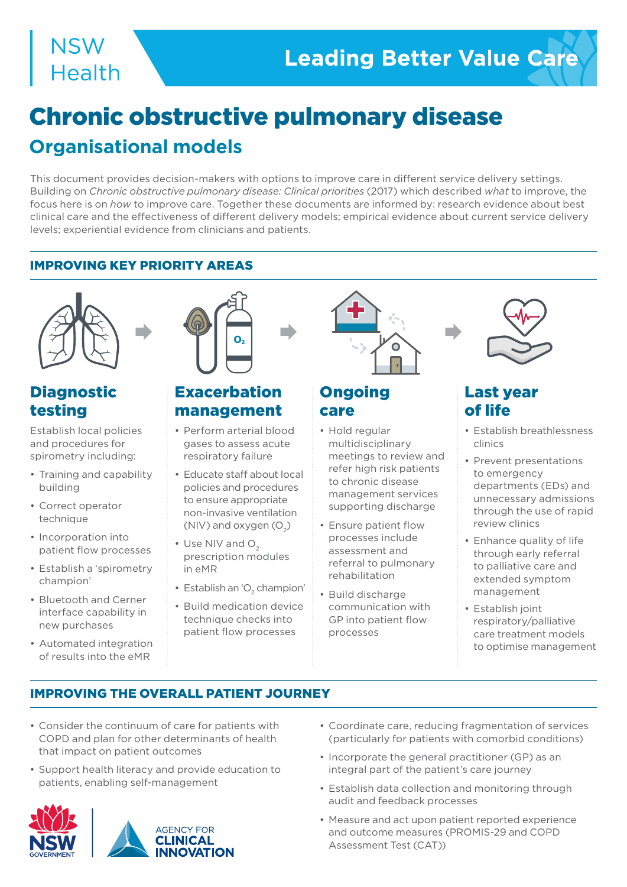## **NSW Health**

# Chronic obstructive pulmonary disease

### **Organisational models**

This document provides decision-makers with options to improve care in different service delivery settings. Building on *Chronic obstructive pulmonary disease: Clinical priorities* (2017) which described *what* to improve, the focus here is on *how* to improve care. Together these documents are informed by: research evidence about best clinical care and the effectiveness of different delivery models; empirical evidence about current service delivery levels; experiential evidence from clinicians and patients.

#### IMPROVING KEY PRIORITY AREAS



#### Diagnostic testing

Establish local policies and procedures for spirometry including:

- Training and capability building
- Correct operator technique
- Incorporation into patient flow processes
- Establish a 'spirometry champion'
- Bluetooth and Cerner interface capability in new purchases
- Automated integration of results into the eMR



#### **Exacerbation** management

- Perform arterial blood gases to assess acute respiratory failure
- Educate staff about local policies and procedures to ensure appropriate non-invasive ventilation (NIV) and oxygen  $(O_2)$
- $\cdot$  Use NIV and O<sub>2</sub> prescription modules in eMR
- Establish an ' $\mathrm{O}_2$  champion'
- Build medication device technique checks into patient flow processes



#### **Ongoing** care

- Hold regular multidisciplinary meetings to review and refer high risk patients to chronic disease management services supporting discharge
- Ensure patient flow processes include assessment and referral to pulmonary rehabilitation
- Build discharge communication with GP into patient flow processes



#### Last year of life

- Establish breathlessness clinics
- Prevent presentations to emergency departments (EDs) and unnecessary admissions through the use of rapid review clinics
- Enhance quality of life through early referral to palliative care and extended symptom management
- Establish joint respiratory/palliative care treatment models to optimise management

#### IMPROVING THE OVERALL PATIENT JOURNEY

- Consider the continuum of care for patients with COPD and plan for other determinants of health that impact on patient outcomes
- Support health literacy and provide education to patients, enabling self-management





- Coordinate care, reducing fragmentation of services (particularly for patients with comorbid conditions)
- Incorporate the general practitioner (GP) as an integral part of the patient's care journey
- Establish data collection and monitoring through audit and feedback processes
- Measure and act upon patient reported experience and outcome measures (PROMIS-29 and COPD Assessment Test (CAT))